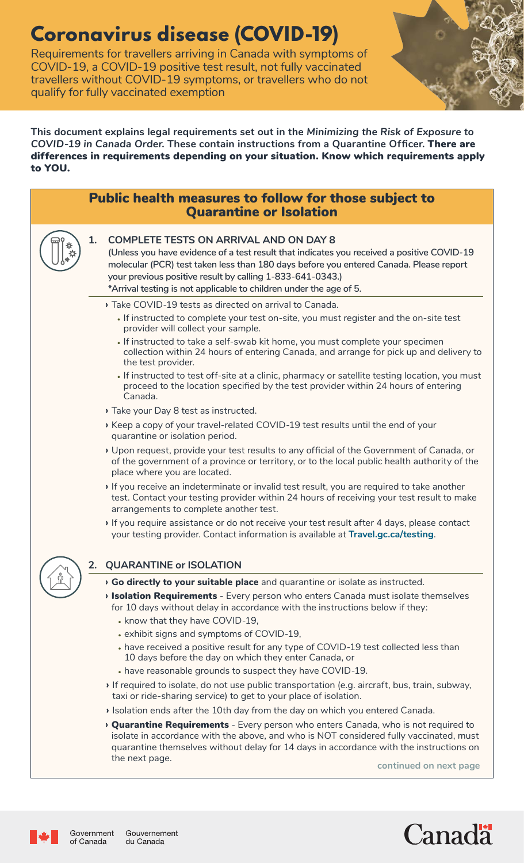# **Coronavirus disease (COVID-19)**

Requirements for travellers arriving in Canada with symptoms of COVID-19, a COVID-19 positive test result, not fully vaccinated travellers without COVID-19 symptoms, or travellers who do not qualify for fully vaccinated exemption



**This document explains legal requirements set out in the** *Minimizing the Risk of Exposure to COVID-19 in Canada Order***. These contain instructions from a Quarantine Officer.** There are differences in requirements depending on your situation. Know which requirements apply to YOU.

|                            |    | Public health measures to follow for those subject to<br><b>Quarantine or Isolation</b>                                                                                                                                                                                                                                                                                  |
|----------------------------|----|--------------------------------------------------------------------------------------------------------------------------------------------------------------------------------------------------------------------------------------------------------------------------------------------------------------------------------------------------------------------------|
| $\frac{*}{2}$              | 1. | <b>COMPLETE TESTS ON ARRIVAL AND ON DAY 8</b><br>(Unless you have evidence of a test result that indicates you received a positive COVID-19<br>molecular (PCR) test taken less than 180 days before you entered Canada. Please report<br>your previous positive result by calling 1-833-641-0343.)<br>*Arrival testing is not applicable to children under the age of 5. |
|                            |    | > Take COVID-19 tests as directed on arrival to Canada.                                                                                                                                                                                                                                                                                                                  |
|                            |    | If instructed to complete your test on-site, you must register and the on-site test<br>provider will collect your sample.                                                                                                                                                                                                                                                |
|                            |    | . If instructed to take a self-swab kit home, you must complete your specimen<br>collection within 24 hours of entering Canada, and arrange for pick up and delivery to<br>the test provider.                                                                                                                                                                            |
|                            |    | . If instructed to test off-site at a clinic, pharmacy or satellite testing location, you must<br>proceed to the location specified by the test provider within 24 hours of entering<br>Canada.                                                                                                                                                                          |
|                            |    | > Take your Day 8 test as instructed.                                                                                                                                                                                                                                                                                                                                    |
|                            |    | Keep a copy of your travel-related COVID-19 test results until the end of your<br>quarantine or isolation period.                                                                                                                                                                                                                                                        |
|                            |    | Upon request, provide your test results to any official of the Government of Canada, or<br>of the government of a province or territory, or to the local public health authority of the<br>place where you are located.                                                                                                                                                  |
|                            |    | If you receive an indeterminate or invalid test result, you are required to take another<br>test. Contact your testing provider within 24 hours of receiving your test result to make<br>arrangements to complete another test.                                                                                                                                          |
|                            |    | If you require assistance or do not receive your test result after 4 days, please contact<br>your testing provider. Contact information is available at Travel.gc.ca/testing.                                                                                                                                                                                            |
| 2. QUARANTINE or ISOLATION |    |                                                                                                                                                                                                                                                                                                                                                                          |
|                            |    | > Go directly to your suitable place and quarantine or isolate as instructed.                                                                                                                                                                                                                                                                                            |
|                            |    | <b>Isolation Requirements</b> - Every person who enters Canada must isolate themselves<br>for 10 days without delay in accordance with the instructions below if they:<br>• know that they have COVID-19,                                                                                                                                                                |
|                            |    | . exhibit signs and symptoms of COVID-19,                                                                                                                                                                                                                                                                                                                                |
|                            |    | • have received a positive result for any type of COVID-19 test collected less than<br>10 days before the day on which they enter Canada, or                                                                                                                                                                                                                             |
|                            |    | • have reasonable grounds to suspect they have COVID-19.                                                                                                                                                                                                                                                                                                                 |
|                            |    | If required to isolate, do not use public transportation (e.g. aircraft, bus, train, subway,<br>taxi or ride-sharing service) to get to your place of isolation.                                                                                                                                                                                                         |
|                            |    | > Isolation ends after the 10th day from the day on which you entered Canada.                                                                                                                                                                                                                                                                                            |
|                            |    | <b>Quarantine Requirements</b> - Every person who enters Canada, who is not required to<br>isolate in accordance with the above, and who is NOT considered fully vaccinated, must<br>quarantine themselves without delay for 14 days in accordance with the instructions on                                                                                              |
|                            |    | the next page.<br>continued on next page                                                                                                                                                                                                                                                                                                                                 |